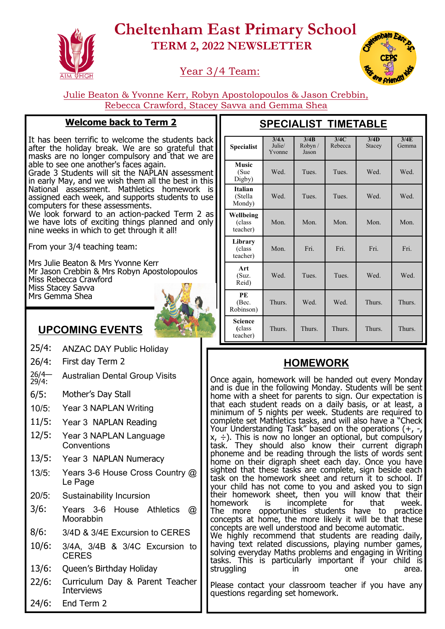

# **Cheltenham East Primary School TERM 2, 2022 NEWSLETTER**

## Year 3/4 Team:



Julie Beaton & Yvonne Kerr, Robyn Apostolopoulos & Jason Crebbin, Rebecca Crawford, Stacey Savva and Gemma Shea

#### **Welcome back to Term 2**

It has been terrific to welcome the students back after the holiday break. We are so grateful that masks are no longer compulsory and that we are able to see one another's faces again. Grade 3 Students will sit the NAPLAN assessment in early May, and we wish them all the best in this

National assessment. Mathletics homework is assigned each week, and supports students to use computers for these assessments.

We look forward to an action-packed Term 2 as we have lots of exciting things planned and only nine weeks in which to get through it all!

From your 3/4 teaching team:

Mrs Julie Beaton & Mrs Yvonne Kerr Mr Jason Crebbin & Mrs Robyn Apostolopoulos Miss Rebecca Crawford Miss Stacey Savva Mrs Gemma Shea



## **UPCOMING EVENTS**

- 25/4: ANZAC DAY Public Holiday
- 26/4: First day Term 2
- $26/4 29/4$ : Australian Dental Group Visits
- 6/5: Mother's Day Stall
- 10/5: Year 3 NAPLAN Writing
- 11/5: Year 3 NAPLAN Reading
- 12/5: Year 3 NAPLAN Language **Conventions**
- 13/5: Year 3 NAPLAN Numeracy
- 13/5: Years 3-6 House Cross Country @ Le Page
- 20/5: Sustainability Incursion
- 3/6: Years 3-6 House Athletics @ Moorabbin
- 8/6: 3/4D & 3/4E Excursion to CERES
- 10/6: 3/4A, 3/4B & 3/4C Excursion to **CERES**
- 13/6: Queen's Birthday Holiday
- 22/6: Curriculum Day & Parent Teacher Interviews
- 24/6: End Term 2

| <b>Specialist</b>                   | $\overline{3}/4A$<br>Julie/<br>Yvonne | 3/4B<br>Robyn /<br>Jason | 3/4C<br>Rebecca | 3/4D<br>Stacey | 3/4E<br>Gemma |
|-------------------------------------|---------------------------------------|--------------------------|-----------------|----------------|---------------|
| <b>Music</b><br>(Sue<br>Digby)      | Wed.                                  | Tues.                    | Tues.           | Wed.           | Wed.          |
| <b>Italian</b><br>(Stella<br>Mondy) | Wed.                                  | Tues.                    | Tues.           | Wed.           | Wed.          |
| Wellbeing<br>(class<br>teacher)     | Mon.                                  | Mon.                     | Mon.            | Mon.           | Mon.          |
| Library<br>(class)<br>teacher)      | Mon.                                  | Fri.                     | Fri.            | Fri.           | Fri.          |
| Art<br>(Suz.<br>Reid)               | Wed.                                  | Tues.                    | Tues.           | Wed.           | Wed.          |
| PE<br>(Bec.<br>Robinson)            | Thurs.                                | Wed.                     | Wed.            | Thurs.         | Thurs.        |
| Science<br>(class)<br>teacher)      | Thurs.                                | Thurs.                   | Thurs.          | Thurs.         | Thurs.        |

## **SPECIALIST TIMETABLE**

## **HOMEWORK**

Once again, homework will be handed out every Monday and is due in the following Monday. Students will be sent home with a sheet for parents to sign. Our expectation is that each student reads on a daily basis, or at least, a minimum of 5 nights per week. Students are required to complete set Mathletics tasks, and will also have a "Check Your Understanding Task" based on the operations (+, -,  $x$ ,  $\div$ ). This is now no longer an optional, but compulsory task. They should also know their current digraph phoneme and be reading through the lists of words sent home on their digraph sheet each day. Once you have sighted that these tasks are complete, sign beside each task on the homework sheet and return it to school. If your child has not come to you and asked you to sign their homework sheet, then you will know that their<br>homework is incomplete for that week. is incomplete for that week. The more opportunities students have to practice concepts at home, the more likely it will be that these concepts are well understood and become automatic. We highly recommend that students are reading daily, having text related discussions, playing number games, solving everyday Maths problems and engaging in Writing tasks. This is particularly important if your child is struggling in in one area. Please contact your classroom teacher if you have any questions regarding set homework.